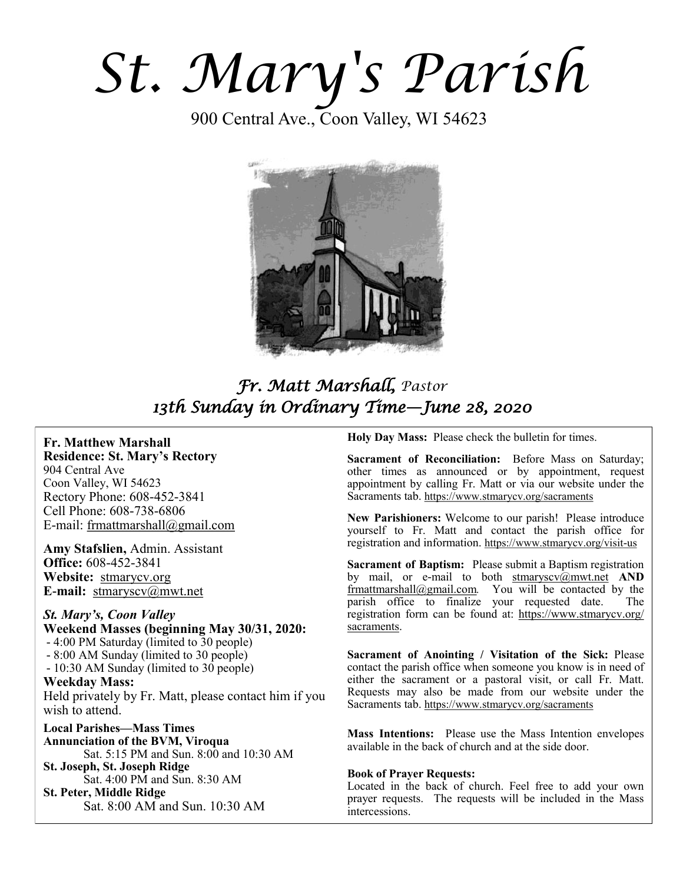*St. Mary's Parish* 

900 Central Ave., Coon Valley, WI 54623



# *Fr. Matt Marshall, Pastor 13th Sunday in Ordinary Time—June 28, 2020*

# **Fr. Matthew Marshall**

**Residence: St. Mary's Rectory** 904 Central Ave Coon Valley, WI 54623 Rectory Phone: 608-452-3841 Cell Phone: 608-738-6806 E-mail: [frmattmarshall@gmail.com](mailto:frmattmarshall@gmail.com)

**Amy Stafslien,** Admin. Assistant **Office:** 608-452-3841 **Website:** <stmarycv.org> **E-mail:** [stmaryscv@mwt.net](mailto:stmaryscv@mwt.net)

*St. Mary's, Coon Valley*  **Weekend Masses (beginning May 30/31, 2020:** - 4:00 PM Saturday (limited to 30 people) - 8:00 AM Sunday (limited to 30 people) - 10:30 AM Sunday (limited to 30 people) **Weekday Mass:** 

Held privately by Fr. Matt, please contact him if you wish to attend.

**Local Parishes—Mass Times Annunciation of the BVM, Viroqua** Sat. 5:15 PM and Sun. 8:00 and 10:30 AM **St. Joseph, St. Joseph Ridge** Sat. 4:00 PM and Sun. 8:30 AM **St. Peter, Middle Ridge** Sat. 8:00 AM and Sun. 10:30 AM

**Holy Day Mass:** Please check the bulletin for times.

**Sacrament of Reconciliation:** Before Mass on Saturday; other times as announced or by appointment, request appointment by calling Fr. Matt or via our website under the Sacraments tab. <https://www.stmarycv.org/sacraments>

**New Parishioners:** Welcome to our parish! Please introduce yourself to Fr. Matt and contact the parish office for registration and information. <https://www.stmarycv.org/visit-us>

**Sacrament of Baptism:** Please submit a Baptism registration by mail, or e-mail to both [stmaryscv@mwt.net](mailto:stmaryscv@mwt.net) **AND** [frmattmarshall@gmail.com](mailto:frmattmarshall@gmail.com)*.* You will be contacted by the parish office to finalize your requested date. The registration form can be found at: [https://www.stmarycv.org/](https://www.stmarycv.org/sacraments) [sacraments.](https://www.stmarycv.org/sacraments) 

**Sacrament of Anointing / Visitation of the Sick:** Please contact the parish office when someone you know is in need of either the sacrament or a pastoral visit, or call Fr. Matt. Requests may also be made from our website under the Sacraments tab. <https://www.stmarycv.org/sacraments>

**Mass Intentions:** Please use the Mass Intention envelopes available in the back of church and at the side door.

#### **Book of Prayer Requests:**

Located in the back of church. Feel free to add your own prayer requests. The requests will be included in the Mass intercessions.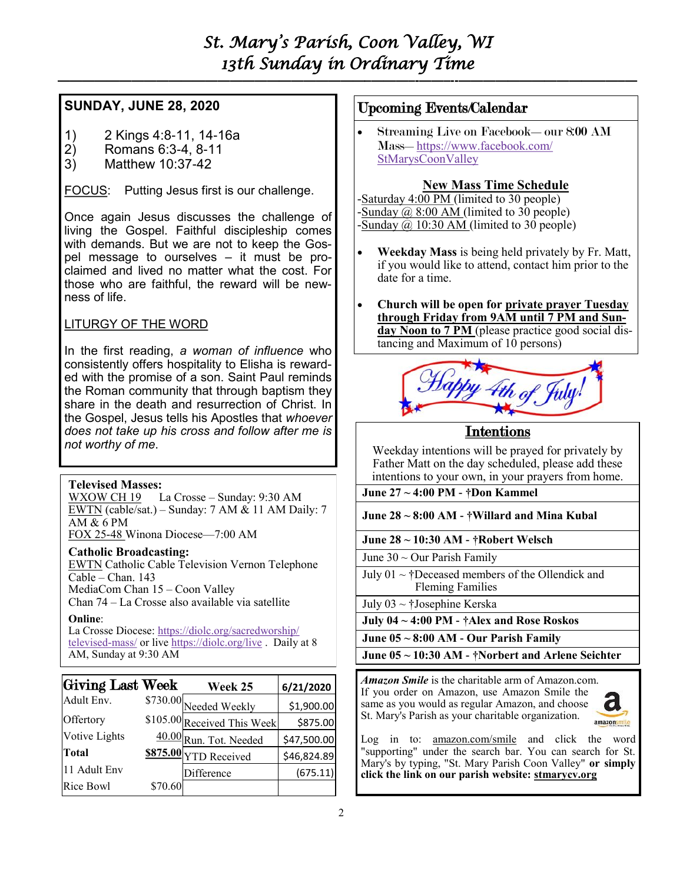# *St. Mary's Parish, Coon Valley, WI 13th Sunday in Ordinary Time*

**—————————————————————————–———–-——–--—————————————–—**

# **SUNDAY, JUNE 28, 2020**

- 1) 2 Kings 4:8-11, 14-16a
- 2) Romans 6:3-4, 8-11
- 3) Matthew 10:37-42

FOCUS: Putting Jesus first is our challenge.

Once again Jesus discusses the challenge of living the Gospel. Faithful discipleship comes with demands. But we are not to keep the Gospel message to ourselves – it must be proclaimed and lived no matter what the cost. For those who are faithful, the reward will be newness of life.

# LITURGY OF THE WORD

In the first reading, *a woman of influence* who consistently offers hospitality to Elisha is rewarded with the promise of a son. Saint Paul reminds the Roman community that through baptism they share in the death and resurrection of Christ. In the Gospel, Jesus tells his Apostles that *whoever does not take up his cross and follow after me is not worthy of me*.

## **Televised Masses:**

WXOW CH 19 La Crosse – Sunday: 9:30 AM EWTN (cable/sat.) – Sunday: 7 AM & 11 AM Daily: 7 AM & 6 PM FOX 25-48 Winona Diocese—7:00 AM

## **Catholic Broadcasting:**

EWTN Catholic Cable Television Vernon Telephone Cable – Chan. 143 MediaCom Chan 15 – Coon Valley Chan 74 – La Crosse also available via satellite

### **Online**:

La Crosse Diocese: [https://diolc.org/sacredworship/](https://diolc.org/sacredworship/televised-mass/) [televised-mass/](https://diolc.org/sacredworship/televised-mass/) or live <https://diolc.org/live> . Daily at 8 AM, Sunday at 9:30 AM

| Giving Last Week |         | Week 25                     | 6/21/2020   |
|------------------|---------|-----------------------------|-------------|
| Adult Env.       |         | \$730.00 Needed Weekly      | \$1,900.00  |
| Offertory        |         | \$105.00 Received This Week | \$875.00    |
| Votive Lights    |         | 40.00 Run. Tot. Needed      | \$47,500.00 |
| Total            |         | \$875.00 YTD Received       | \$46,824.89 |
| 11 Adult Env     |         | Difference                  | (675.11)    |
| Rice Bowl        | \$70.60 |                             |             |

# Upcoming Events/Calendar

• Streaming Live on Facebook—our 8:00 AM Mass—[https://www.facebook.com/](https://www.facebook.com/StMarysCoonValley) [StMarysCoonValley](https://www.facebook.com/StMarysCoonValley)

# **New Mass Time Schedule**

-Saturday 4:00 PM (limited to 30 people) -Sunday  $\omega$  8:00 AM (limited to 30 people) -Sunday  $\omega$  10:30 AM (limited to 30 people)

- **Weekday Mass** is being held privately by Fr. Matt, if you would like to attend, contact him prior to the date for a time.
- **Church will be open for private prayer Tuesday through Friday from 9AM until 7 PM and Sunday Noon to 7 PM** (please practice good social distancing and Maximum of 10 persons)



# Intentions

Weekday intentions will be prayed for privately by Father Matt on the day scheduled, please add these intentions to your own, in your prayers from home.

**June 27 ~ 4:00 PM - †Don Kammel**

**June 28 ~ 8:00 AM - †Willard and Mina Kubal**

**June 28 ~ 10:30 AM - †Robert Welsch**

June  $30 \sim$  Our Parish Family

July  $01 \sim \text{\texttt{tDeceased members}}$  of the Ollendick and Fleming Families

July 03 ~ †Josephine Kerska

**July 04 ~ 4:00 PM - †Alex and Rose Roskos**

**June 05 ~ 8:00 AM - Our Parish Family**

**June 05 ~ 10:30 AM - †Norbert and Arlene Seichter**

*Amazon Smile* is the charitable arm of Amazon.com. If you order on Amazon, use Amazon Smile the same as you would as regular Amazon, and choose St. Mary's Parish as your charitable organization.



Log in to: [amazon.com/smile](http://amazon.com/smile) and click the word "supporting" under the search bar. You can search for St. Mary's by typing, "St. Mary Parish Coon Valley" **or simply click the link on our parish website: <stmarycv.org>**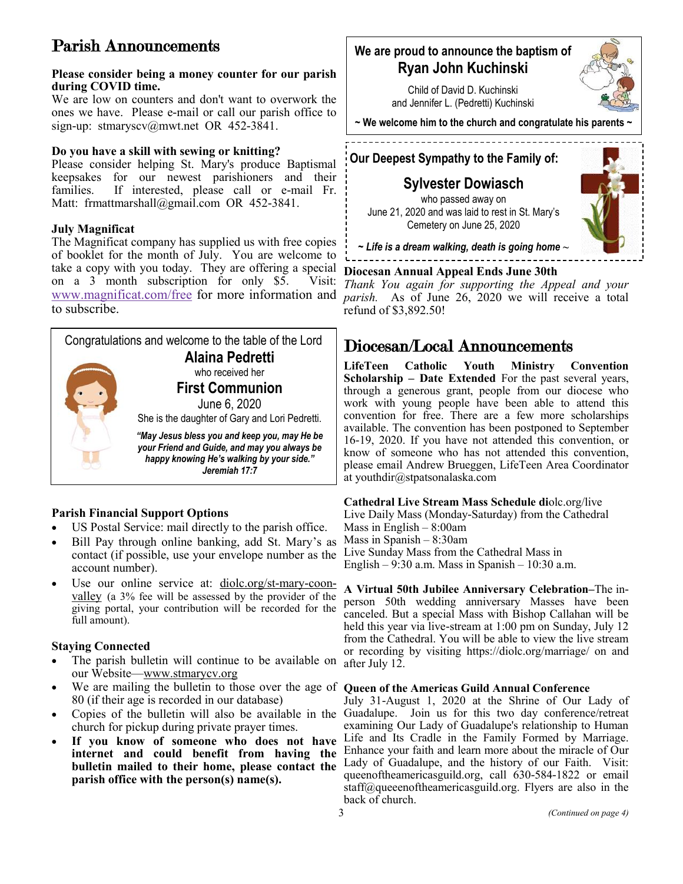# Parish Announcements

#### **Please consider being a money counter for our parish during COVID time.**

We are low on counters and don't want to overwork the ones we have. Please e-mail or call our parish office to sign-up: stmaryscv@mwt.net OR 452-3841.

### **Do you have a skill with sewing or knitting?**

Please consider helping St. Mary's produce Baptismal keepsakes for our newest parishioners and their families. If interested, please call or e-mail Fr. If interested, please call or e-mail Fr. Matt: frmattmarshall@gmail.com OR 452-3841.

#### **July Magnificat**

The Magnificat company has supplied us with free copies of booklet for the month of July. You are welcome to take a copy with you today. They are offering a special on a 3 month subscription for only \$5. Visit: [www.magnificat.com/free](http://www.magnificat.com/free) for more information and to subscribe.



## **Parish Financial Support Options**

- US Postal Service: mail directly to the parish office.
- Bill Pay through online banking, add St. Mary's as contact (if possible, use your envelope number as the account number).
- Use our online service at: [diolc.org/st-mary-coon](http://www.diolc.org/st-mary-coon-valley)[valley](http://www.diolc.org/st-mary-coon-valley) (a 3% fee will be assessed by the provider of the giving portal, your contribution will be recorded for the full amount).

### **Staying Connected**

- The parish bulletin will continue to be available on after July 12. our Website—[www.stmarycv.org](http://www.stmarycv.org)
- We are mailing the bulletin to those over the age of **Queen of the Americas Guild Annual Conference** 80 (if their age is recorded in our database)
- church for pickup during private prayer times.
- **If you know of someone who does not have internet and could benefit from having the bulletin mailed to their home, please contact the parish office with the person(s) name(s).**

# **We are proud to announce the baptism of Ryan John Kuchinski**



Child of David D. Kuchinski and Jennifer L. (Pedretti) Kuchinski

**~ We welcome him to the church and congratulate his parents ~**

# **Our Deepest Sympathy to the Family of:**

**Sylvester Dowiasch**  who passed away on June 21, 2020 and was laid to rest in St. Mary's Cemetery on June 25, 2020



*~ Life is a dream walking, death is going home ~*

#### **Diocesan Annual Appeal Ends June 30th**

\_\_\_\_\_\_\_\_\_\_\_\_\_\_\_\_\_\_\_\_\_\_\_

*Thank You again for supporting the Appeal and your parish.* As of June 26, 2020 we will receive a total refund of \$3,892.50!

# Diocesan/Local Announcements

**LifeTeen Catholic Youth Ministry Convention Scholarship – Date Extended** For the past several years, through a generous grant, people from our diocese who work with young people have been able to attend this convention for free. There are a few more scholarships available. The convention has been postponed to September 16-19, 2020. If you have not attended this convention, or know of someone who has not attended this convention, please email Andrew Brueggen, LifeTeen Area Coordinator at youthdir@stpatsonalaska.com

#### **Cathedral Live Stream Mass Schedule di**olc.org/live Live Daily Mass (Monday-Saturday) from the Cathedral Mass in English – 8:00am

Mass in Spanish – 8:30am

Live Sunday Mass from the Cathedral Mass in English –  $9:30$  a.m. Mass in Spanish –  $10:30$  a.m.

**A Virtual 50th Jubilee Anniversary Celebration–**The inperson 50th wedding anniversary Masses have been canceled. But a special Mass with Bishop Callahan will be held this year via live-stream at 1:00 pm on Sunday, July 12 from the Cathedral. You will be able to view the live stream or recording by visiting https://diolc.org/marriage/ on and

• Copies of the bulletin will also be available in the Guadalupe. Join us for this two day conference/retreat July 31-August 1, 2020 at the Shrine of Our Lady of examining Our Lady of Guadalupe's relationship to Human Life and Its Cradle in the Family Formed by Marriage. Enhance your faith and learn more about the miracle of Our Lady of Guadalupe, and the history of our Faith. Visit: queenoftheamericasguild.org, call 630-584-1822 or email staff@queeenoftheamericasguild.org. Flyers are also in the back of church.